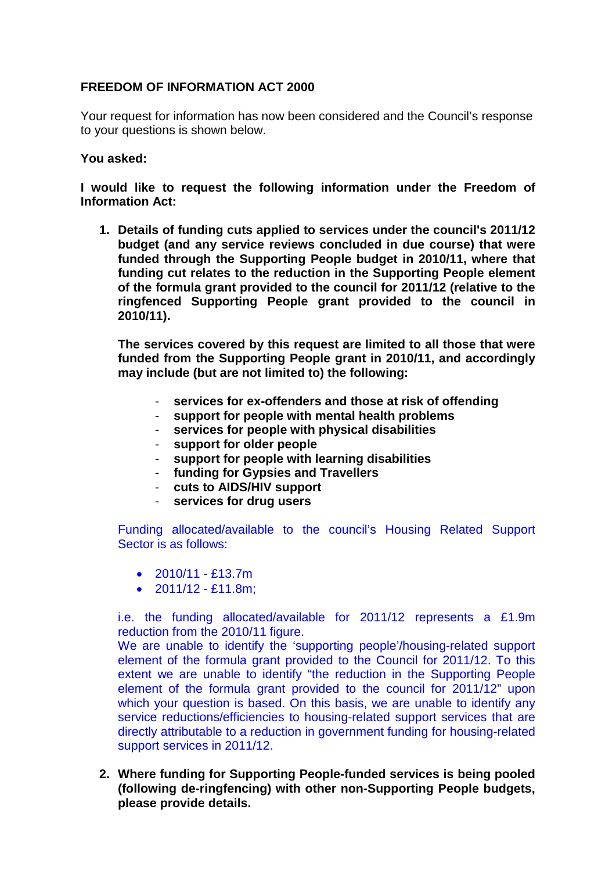## **FREEDOM OF INFORMATION ACT 2000**

Your request for information has now been considered and the Council's response to your questions is shown below.

## **You asked:**

**I would like to request the following information under the Freedom of Information Act:**

**1. Details of funding cuts applied to services under the council's 2011/12 budget (and any service reviews concluded in due course) that were funded through the Supporting People budget in 2010/11, where that funding cut relates to the reduction in the Supporting People element of the formula grant provided to the council for 2011/12 (relative to the ringfenced Supporting People grant provided to the council in 2010/11).**

**The services covered by this request are limited to all those that were funded from the Supporting People grant in 2010/11, and accordingly may include (but are not limited to) the following:**

- services for ex-offenders and those at risk of offending
- **support for people with mental health problems**
- **services for people with physical disabilities**
- **support for older people**
- **support for people with learning disabilities**
- **funding for Gypsies and Travellers**
- **cuts to AIDS/HIV support**
- **services for drug users**

Funding allocated/available to the council's Housing Related Support Sector is as follows:

- $2010/11 513.7m$
- $2011/12 £11.8$ m:

i.e. the funding allocated/available for 2011/12 represents a £1.9m reduction from the 2010/11 figure.

We are unable to identify the 'supporting people'/housing-related support element of the formula grant provided to the Council for 2011/12. To this extent we are unable to identify "the reduction in the Supporting People element of the formula grant provided to the council for 2011/12" upon which your question is based. On this basis, we are unable to identify any service reductions/efficiencies to housing-related support services that are directly attributable to a reduction in government funding for housing-related support services in 2011/12.

**2. Where funding for Supporting People-funded services is being pooled (following de-ringfencing) with other non-Supporting People budgets, please provide details.**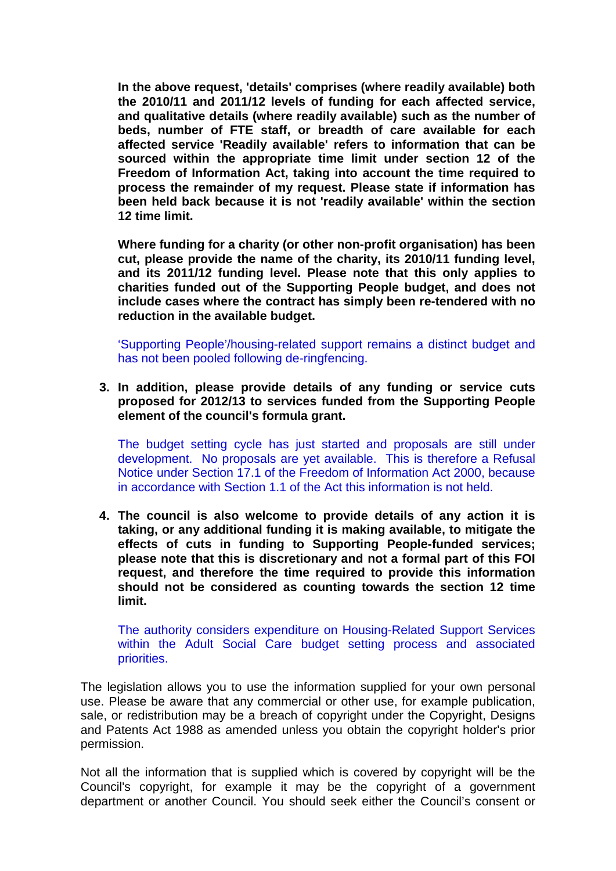**In the above request, 'details' comprises (where readily available) both the 2010/11 and 2011/12 levels of funding for each affected service, and qualitative details (where readily available) such as the number of beds, number of FTE staff, or breadth of care available for each affected service 'Readily available' refers to information that can be sourced within the appropriate time limit under section 12 of the Freedom of Information Act, taking into account the time required to process the remainder of my request. Please state if information has been held back because it is not 'readily available' within the section 12 time limit.**

**Where funding for a charity (or other non-profit organisation) has been cut, please provide the name of the charity, its 2010/11 funding level, and its 2011/12 funding level. Please note that this only applies to charities funded out of the Supporting People budget, and does not include cases where the contract has simply been re-tendered with no reduction in the available budget.**

'Supporting People'/housing-related support remains a distinct budget and has not been pooled following de-ringfencing.

**3. In addition, please provide details of any funding or service cuts proposed for 2012/13 to services funded from the Supporting People element of the council's formula grant.**

The budget setting cycle has just started and proposals are still under development. No proposals are yet available. This is therefore a Refusal Notice under Section 17.1 of the Freedom of Information Act 2000, because in accordance with Section 1.1 of the Act this information is not held.

**4. The council is also welcome to provide details of any action it is taking, or any additional funding it is making available, to mitigate the effects of cuts in funding to Supporting People-funded services; please note that this is discretionary and not a formal part of this FOI request, and therefore the time required to provide this information should not be considered as counting towards the section 12 time limit.**

The authority considers expenditure on Housing-Related Support Services within the Adult Social Care budget setting process and associated priorities.

The legislation allows you to use the information supplied for your own personal use. Please be aware that any commercial or other use, for example publication, sale, or redistribution may be a breach of copyright under the Copyright, Designs and Patents Act 1988 as amended unless you obtain the copyright holder's prior permission.

Not all the information that is supplied which is covered by copyright will be the Council's copyright, for example it may be the copyright of a government department or another Council. You should seek either the Council's consent or